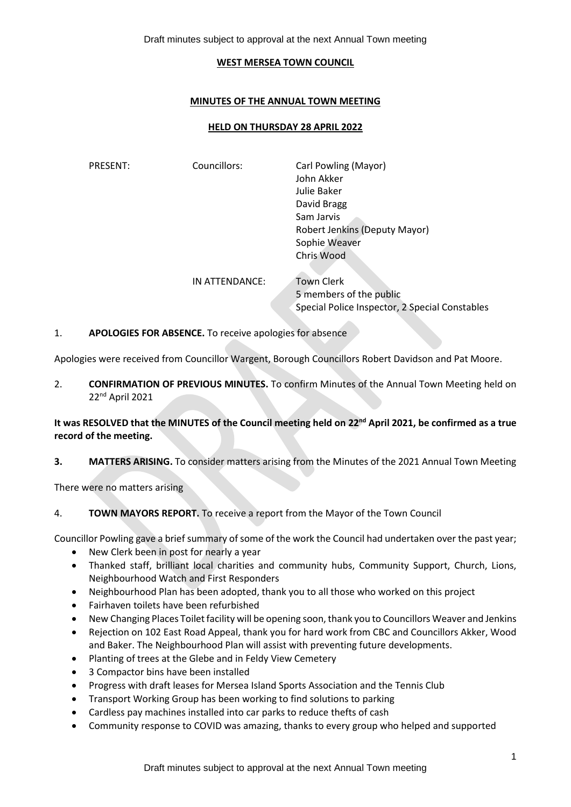Draft minutes subject to approval at the next Annual Town meeting

#### **WEST MERSEA TOWN COUNCIL**

### **MINUTES OF THE ANNUAL TOWN MEETING**

### **HELD ON THURSDAY 28 APRIL 2022**

| PRESENT: | Councillors:   | Carl Powling (Mayor)<br>John Akker             |
|----------|----------------|------------------------------------------------|
|          |                | Julie Baker                                    |
|          |                | David Bragg                                    |
|          |                | Sam Jarvis                                     |
|          |                | Robert Jenkins (Deputy Mayor)                  |
|          |                | Sophie Weaver                                  |
|          |                | Chris Wood                                     |
|          | IN ATTENDANCE: | <b>Town Clerk</b>                              |
|          |                | 5 members of the public                        |
|          |                | Special Police Inspector, 2 Special Constables |

### 1. **APOLOGIES FOR ABSENCE.** To receive apologies for absence

Apologies were received from Councillor Wargent, Borough Councillors Robert Davidson and Pat Moore.

2. **CONFIRMATION OF PREVIOUS MINUTES.** To confirm Minutes of the Annual Town Meeting held on 22nd April 2021

## **It was RESOLVED that the MINUTES of the Council meeting held on 22nd April 2021, be confirmed as a true record of the meeting.**

**3. MATTERS ARISING.** To consider matters arising from the Minutes of the 2021 Annual Town Meeting

There were no matters arising

## 4. **TOWN MAYORS REPORT.** To receive a report from the Mayor of the Town Council

Councillor Powling gave a brief summary of some of the work the Council had undertaken over the past year;

- New Clerk been in post for nearly a year
- Thanked staff, brilliant local charities and community hubs, Community Support, Church, Lions, Neighbourhood Watch and First Responders
- Neighbourhood Plan has been adopted, thank you to all those who worked on this project
- Fairhaven toilets have been refurbished
- New Changing Places Toilet facility will be opening soon, thank you to Councillors Weaver and Jenkins
- Rejection on 102 East Road Appeal, thank you for hard work from CBC and Councillors Akker, Wood and Baker. The Neighbourhood Plan will assist with preventing future developments.
- Planting of trees at the Glebe and in Feldy View Cemetery
- 3 Compactor bins have been installed
- Progress with draft leases for Mersea Island Sports Association and the Tennis Club
- Transport Working Group has been working to find solutions to parking
- Cardless pay machines installed into car parks to reduce thefts of cash
- Community response to COVID was amazing, thanks to every group who helped and supported